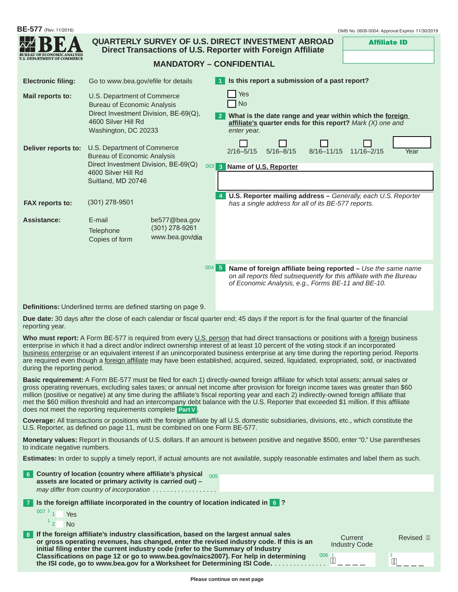| <b>BE-577</b> (Rev. 11/2016) |                                                                                                                                                           |                                                      | OMB No. 0608-0004: Approval Expires 11/30/2019                                                                                                                                                      |
|------------------------------|-----------------------------------------------------------------------------------------------------------------------------------------------------------|------------------------------------------------------|-----------------------------------------------------------------------------------------------------------------------------------------------------------------------------------------------------|
| LOE ECONOMIC                 |                                                                                                                                                           |                                                      | <b>QUARTERLY SURVEY OF U.S. DIRECT INVESTMENT ABROAD</b><br><b>Affiliate ID</b><br>Direct Transactions of U.S. Reporter with Foreign Affiliate                                                      |
| DEPARTMENT OF COMMERCE       |                                                                                                                                                           |                                                      | <b>MANDATORY - CONFIDENTIAL</b>                                                                                                                                                                     |
| <b>Electronic filing:</b>    | Go to www.bea.gov/efile for details                                                                                                                       |                                                      | Is this report a submission of a past report?                                                                                                                                                       |
| Mail reports to:             | U.S. Department of Commerce<br><b>Bureau of Economic Analysis</b><br>Direct Investment Division, BE-69(Q),<br>4600 Silver Hill Rd<br>Washington, DC 20233 |                                                      | Yes<br>N <sub>o</sub><br>What is the date range and year within which the foreign<br>affiliate's quarter ends for this report? Mark (X) one and<br>enter year.                                      |
| Deliver reports to:          | U.S. Department of Commerce<br><b>Bureau of Economic Analysis</b><br>Direct Investment Division, BE-69(Q)<br>4600 Silver Hill Rd<br>Suitland, MD 20746    |                                                      | $8/16 - 11/15$<br>$11/16 - 2/15$<br>$2/16 - 5/15$<br>$5/16 - 8/15$<br>Year<br>003 3 Name of U.S. Reporter                                                                                           |
| <b>FAX reports to:</b>       | $(301)$ 278-9501                                                                                                                                          |                                                      | U.S. Reporter mailing address - Generally, each U.S. Reporter<br>has a single address for all of its BE-577 reports.                                                                                |
| <b>Assistance:</b>           | E-mail<br>Telephone<br>Copies of form                                                                                                                     | be577@bea.gov<br>$(301)$ 278-9261<br>www.bea.gov/dia |                                                                                                                                                                                                     |
|                              |                                                                                                                                                           |                                                      | 004 5<br>Name of foreign affiliate being reported - Use the same name<br>on all reports filed subsequently for this affiliate with the Bureau<br>of Economic Analysis, e.g., Forms BE-11 and BE-10. |
|                              | <b>Definitions:</b> Underlined terms are defined starting on page 9.                                                                                      |                                                      |                                                                                                                                                                                                     |

**Due date:** 30 days after the close of each calendar or fiscal quarter end; 45 days if the report is for the final quarter of the financial reporting year.

Who must report: A Form BE-577 is required from every U.S. person that had direct transactions or positions with a foreign business enterprise in which it had a direct and/or indirect ownership interest of at least 10 percent of the voting stock if an incorporated business enterprise or an equivalent interest if an unincorporated business enterprise at any time during the reporting period. Reports are required even though a *foreign affiliate* may have been established, acquired, seized, liquidated, expropriated, sold, or inactivated during the reporting period.

**Basic requirement:** A Form BE-577 must be filed for each 1) directly-owned foreign affiliate for which total assets; annual sales or gross operating revenues, excluding sales taxes; or annual net income after provision for foreign income taxes was greater than \$60 million (positive or negative) at any time during the affiliate's fiscal reporting year and each 2) indirectly-owned foreign affiliate that met the \$60 million threshold and had an intercompany debt balance with the U.S. Reporter that exceeded \$1 million. If this affiliate does not meet the reporting requirements complete **Part V** .

**Coverage:** All transactions or positions with the foreign affiliate by all U.S. domestic subsidiaries, divisions, etc., which constitute the U.S. Reporter, as defined on page 11, must be combined on one Form BE-577.

**Monetary values:** Report in thousands of U.S. dollars. If an amount is between positive and negative \$500, enter "0." Use parentheses to indicate negative numbers.

**Estimates:** In order to supply a timely report, if actual amounts are not available, supply reasonable estimates and label them as such.

| - 6 L | Country of location (country where affiliate's physical 005<br>assets are located or primary activity is carried out) -<br>may differ from country of incorporation                                                                                                                                 |                                 |            |
|-------|-----------------------------------------------------------------------------------------------------------------------------------------------------------------------------------------------------------------------------------------------------------------------------------------------------|---------------------------------|------------|
| l 7 I | Is the foreign affiliate incorporated in the country of location indicated in $\left[6\right]$ ?<br>$0071$ <sub>1</sub><br>Yes                                                                                                                                                                      |                                 |            |
| 8     | $\frac{1}{2}$<br><b>No</b><br>If the foreign affiliate's industry classification, based on the largest annual sales<br>or gross operating revenues, has changed, enter the revised industry code. If this is an<br>initial filing enter the current industry code (refer to the Summary of Industry | Current<br><b>Industry Code</b> | Revised MA |
|       | Classifications on page 12 or go to www.bea.gov/naics2007). For help in determining<br>the ISI code, go to www.bea.gov for a Worksheet for Determining ISI Code.                                                                                                                                    | $^{006}$ ${\rm \AA}$            |            |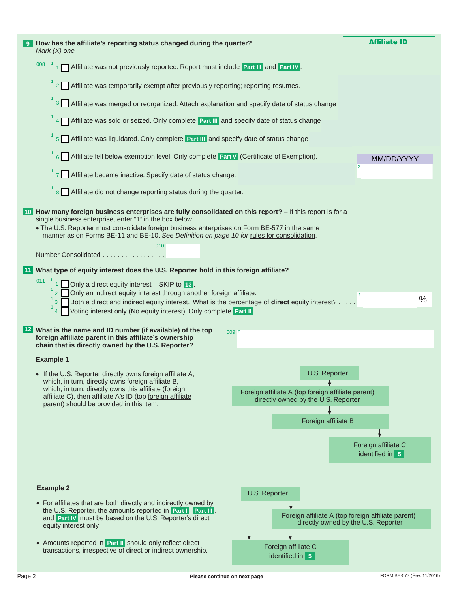|                                                                                                                                                                                                                                                                                                                                            | <b>Affiliate ID</b>                                                                                                                                                                                                                                                                                                                                                                                                                                                                                                                                                                                                                                                                                                                                                                                                                                                                                                                                                                                                                                                                                                                                                                                                                             |  |  |  |  |  |  |
|--------------------------------------------------------------------------------------------------------------------------------------------------------------------------------------------------------------------------------------------------------------------------------------------------------------------------------------------|-------------------------------------------------------------------------------------------------------------------------------------------------------------------------------------------------------------------------------------------------------------------------------------------------------------------------------------------------------------------------------------------------------------------------------------------------------------------------------------------------------------------------------------------------------------------------------------------------------------------------------------------------------------------------------------------------------------------------------------------------------------------------------------------------------------------------------------------------------------------------------------------------------------------------------------------------------------------------------------------------------------------------------------------------------------------------------------------------------------------------------------------------------------------------------------------------------------------------------------------------|--|--|--|--|--|--|
|                                                                                                                                                                                                                                                                                                                                            |                                                                                                                                                                                                                                                                                                                                                                                                                                                                                                                                                                                                                                                                                                                                                                                                                                                                                                                                                                                                                                                                                                                                                                                                                                                 |  |  |  |  |  |  |
|                                                                                                                                                                                                                                                                                                                                            |                                                                                                                                                                                                                                                                                                                                                                                                                                                                                                                                                                                                                                                                                                                                                                                                                                                                                                                                                                                                                                                                                                                                                                                                                                                 |  |  |  |  |  |  |
|                                                                                                                                                                                                                                                                                                                                            |                                                                                                                                                                                                                                                                                                                                                                                                                                                                                                                                                                                                                                                                                                                                                                                                                                                                                                                                                                                                                                                                                                                                                                                                                                                 |  |  |  |  |  |  |
|                                                                                                                                                                                                                                                                                                                                            |                                                                                                                                                                                                                                                                                                                                                                                                                                                                                                                                                                                                                                                                                                                                                                                                                                                                                                                                                                                                                                                                                                                                                                                                                                                 |  |  |  |  |  |  |
|                                                                                                                                                                                                                                                                                                                                            |                                                                                                                                                                                                                                                                                                                                                                                                                                                                                                                                                                                                                                                                                                                                                                                                                                                                                                                                                                                                                                                                                                                                                                                                                                                 |  |  |  |  |  |  |
|                                                                                                                                                                                                                                                                                                                                            | MM/DD/YYYY                                                                                                                                                                                                                                                                                                                                                                                                                                                                                                                                                                                                                                                                                                                                                                                                                                                                                                                                                                                                                                                                                                                                                                                                                                      |  |  |  |  |  |  |
|                                                                                                                                                                                                                                                                                                                                            |                                                                                                                                                                                                                                                                                                                                                                                                                                                                                                                                                                                                                                                                                                                                                                                                                                                                                                                                                                                                                                                                                                                                                                                                                                                 |  |  |  |  |  |  |
|                                                                                                                                                                                                                                                                                                                                            |                                                                                                                                                                                                                                                                                                                                                                                                                                                                                                                                                                                                                                                                                                                                                                                                                                                                                                                                                                                                                                                                                                                                                                                                                                                 |  |  |  |  |  |  |
|                                                                                                                                                                                                                                                                                                                                            |                                                                                                                                                                                                                                                                                                                                                                                                                                                                                                                                                                                                                                                                                                                                                                                                                                                                                                                                                                                                                                                                                                                                                                                                                                                 |  |  |  |  |  |  |
|                                                                                                                                                                                                                                                                                                                                            |                                                                                                                                                                                                                                                                                                                                                                                                                                                                                                                                                                                                                                                                                                                                                                                                                                                                                                                                                                                                                                                                                                                                                                                                                                                 |  |  |  |  |  |  |
|                                                                                                                                                                                                                                                                                                                                            |                                                                                                                                                                                                                                                                                                                                                                                                                                                                                                                                                                                                                                                                                                                                                                                                                                                                                                                                                                                                                                                                                                                                                                                                                                                 |  |  |  |  |  |  |
|                                                                                                                                                                                                                                                                                                                                            |                                                                                                                                                                                                                                                                                                                                                                                                                                                                                                                                                                                                                                                                                                                                                                                                                                                                                                                                                                                                                                                                                                                                                                                                                                                 |  |  |  |  |  |  |
| 011<br>1 Only a direct equity interest - SKIP to 13.<br>Only an indirect equity interest through another foreign affiliate.<br>$\overline{2}$<br>$\%$<br>Both a direct and indirect equity interest. What is the percentage of direct equity interest?<br>Voting interest only (No equity interest). Only complete Part II.<br>$4\sqrt{ }$ |                                                                                                                                                                                                                                                                                                                                                                                                                                                                                                                                                                                                                                                                                                                                                                                                                                                                                                                                                                                                                                                                                                                                                                                                                                                 |  |  |  |  |  |  |
|                                                                                                                                                                                                                                                                                                                                            |                                                                                                                                                                                                                                                                                                                                                                                                                                                                                                                                                                                                                                                                                                                                                                                                                                                                                                                                                                                                                                                                                                                                                                                                                                                 |  |  |  |  |  |  |
|                                                                                                                                                                                                                                                                                                                                            |                                                                                                                                                                                                                                                                                                                                                                                                                                                                                                                                                                                                                                                                                                                                                                                                                                                                                                                                                                                                                                                                                                                                                                                                                                                 |  |  |  |  |  |  |
| <b>U.S. Reporter</b><br>Foreign affiliate A (top foreign affiliate parent)<br>directly owned by the U.S. Reporter<br>Foreign affiliate B                                                                                                                                                                                                   |                                                                                                                                                                                                                                                                                                                                                                                                                                                                                                                                                                                                                                                                                                                                                                                                                                                                                                                                                                                                                                                                                                                                                                                                                                                 |  |  |  |  |  |  |
|                                                                                                                                                                                                                                                                                                                                            | Foreign affiliate C<br>identified in 5                                                                                                                                                                                                                                                                                                                                                                                                                                                                                                                                                                                                                                                                                                                                                                                                                                                                                                                                                                                                                                                                                                                                                                                                          |  |  |  |  |  |  |
| U.S. Reporter<br>Foreign affiliate C<br>identified in 5                                                                                                                                                                                                                                                                                    | Foreign affiliate A (top foreign affiliate parent)<br>directly owned by the U.S. Reporter                                                                                                                                                                                                                                                                                                                                                                                                                                                                                                                                                                                                                                                                                                                                                                                                                                                                                                                                                                                                                                                                                                                                                       |  |  |  |  |  |  |
|                                                                                                                                                                                                                                                                                                                                            | How has the affiliate's reporting status changed during the quarter?<br>1   Affiliate was not previously reported. Report must include Part III and Part IV.<br>2 Affiliate was temporarily exempt after previously reporting; reporting resumes.<br><sup>3</sup> Affiliate was merged or reorganized. Attach explanation and specify date of status change<br>4   Affiliate was sold or seized. Only complete Part III and specify date of status change<br>5 Affiliate was liquidated. Only complete Part III and specify date of status change<br>6 Affiliate fell below exemption level. Only complete Part V (Certificate of Exemption).<br>7 Affiliate became inactive. Specify date of status change.<br>8 Affiliate did not change reporting status during the quarter.<br>10 How many foreign business enterprises are fully consolidated on this report? - If this report is for a<br>. The U.S. Reporter must consolidate foreign business enterprises on Form BE-577 in the same<br>manner as on Forms BE-11 and BE-10. See Definition on page 10 for rules for consolidation.<br>What type of equity interest does the U.S. Reporter hold in this foreign affiliate?<br>0090<br>chain that is directly owned by the U.S. Reporter? |  |  |  |  |  |  |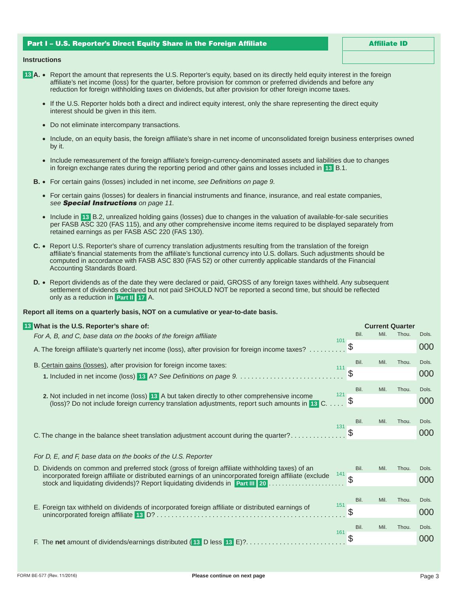# Part I – U.S. Reporter's Direct Equity Share in the Foreign Affiliate

Affiliate ID

### **Instructions**

- **13 A.** Report the amount that represents the U.S. Reporter's equity, based on its directly held equity interest in the foreign affiliate's net income (loss) for the quarter, before provision for common or preferred dividends and before any reduction for foreign withholding taxes on dividends, but after provision for other foreign income taxes.
	- If the U.S. Reporter holds both a direct and indirect equity interest, only the share representing the direct equity interest should be given in this item.
	- Do not eliminate intercompany transactions.
	- Include, on an equity basis, the foreign affiliate's share in net income of unconsolidated foreign business enterprises owned by it.
	- Include remeasurement of the foreign affiliate's foreign-currency-denominated assets and liabilities due to changes in foreign exchange rates during the reporting period and other gains and losses included in **13** B.1.
	- **B.** For certain gains (losses) included in net income, *see Definitions on page 9.*
		- For certain gains (losses) for dealers in financial instruments and finance, insurance, and real estate companies, *see Special Instructions on page 11.*
		- Include in **13** B.2, unrealized holding gains (losses) due to changes in the valuation of available-for-sale securities per FASB ASC 320 (FAS 115), and any other comprehensive income items required to be displayed separately from retained earnings as per FASB ASC 220 (FAS 130).
	- **C.** Report U.S. Reporter's share of currency translation adjustments resulting from the translation of the foreign affiliate's financial statements from the affiliate's functional currency into U.S. dollars. Such adjustments should be computed in accordance with FASB ASC 830 (FAS 52) or other currently applicable standards of the Financial Accounting Standards Board.
	- **D.** Report dividends as of the date they were declared or paid, GROSS of any foreign taxes withheld. Any subsequent settlement of dividends declared but not paid SHOULD NOT be reported a second time, but should be reflected only as a reduction in **Part II 17** A.

# **Report all items on a quarterly basis, NOT on a cumulative or year-to-date basis.**

| 13 What is the U.S. Reporter's share of:                                                                                                                                                    |     |               | <b>Current Quarter</b> |       |       |
|---------------------------------------------------------------------------------------------------------------------------------------------------------------------------------------------|-----|---------------|------------------------|-------|-------|
| For A, B, and C, base data on the books of the foreign affiliate                                                                                                                            | 101 | Bil.          | Mil.                   | Thou. | Dols. |
| A. The foreign affiliate's quarterly net income (loss), after provision for foreign income taxes?                                                                                           |     | \$            |                        |       | 000   |
| B. Certain gains (losses), after provision for foreign income taxes:                                                                                                                        | 111 | Bil.          | Mil.                   | Thou. | Dols. |
|                                                                                                                                                                                             |     | $\mathcal{L}$ |                        |       | 000   |
|                                                                                                                                                                                             |     | Bil.          | Mil.                   | Thou. | Dols. |
| 2. Not included in net income (loss) 13 A but taken directly to other comprehensive income<br>(loss)? Do not include foreign currency translation adjustments, report such amounts in 13 C. | 121 | \$            |                        |       | 000   |
|                                                                                                                                                                                             |     |               |                        |       |       |
|                                                                                                                                                                                             | 131 | Bil.          | Mil.                   | Thou. | Dols. |
| C. The change in the balance sheet translation adjustment account during the quarter?                                                                                                       |     |               |                        |       | 000   |
|                                                                                                                                                                                             |     |               |                        |       |       |
| For D, E, and F, base data on the books of the U.S. Reporter                                                                                                                                |     |               |                        |       |       |
| D. Dividends on common and preferred stock (gross of foreign affiliate withholding taxes) of an                                                                                             | 141 | Bil.          | Mil.                   | Thou. | Dols. |
| incorporated foreign affiliate or distributed earnings of an unincorporated foreign affiliate (exclude<br>stock and liquidating dividends)? Report liquidating dividends in Part III 20     |     |               |                        |       | 000   |
|                                                                                                                                                                                             |     |               |                        |       |       |
| E. Foreign tax withheld on dividends of incorporated foreign affiliate or distributed earnings of                                                                                           | 151 | Bil.          | Mil.                   | Thou. | Dols. |
|                                                                                                                                                                                             |     | S             |                        |       | 000   |
|                                                                                                                                                                                             | 161 | Bil.          | Mil.                   | Thou. | Dols. |
| F. The net amount of dividends/earnings distributed (13 D less 13 E)?                                                                                                                       |     | \$            |                        |       | 000   |
|                                                                                                                                                                                             |     |               |                        |       |       |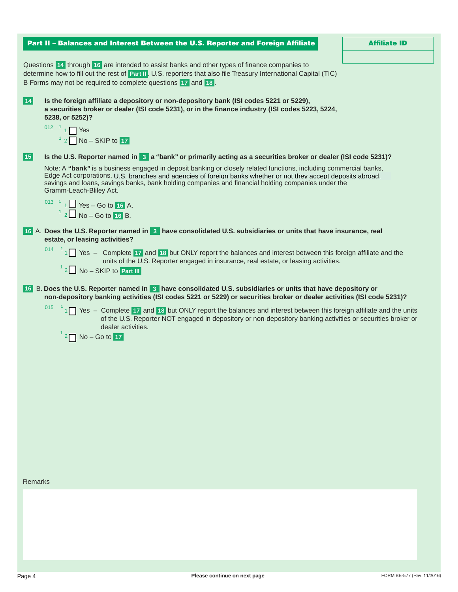| Part II - Balances and Interest Between the U.S. Reporter and Foreign Affiliate                                                                                                                                                                                                                                                                                                                                                                            | <b>Affiliate ID</b> |
|------------------------------------------------------------------------------------------------------------------------------------------------------------------------------------------------------------------------------------------------------------------------------------------------------------------------------------------------------------------------------------------------------------------------------------------------------------|---------------------|
| Questions 14 through 16 are intended to assist banks and other types of finance companies to<br>determine how to fill out the rest of Part II. U.S. reporters that also file Treasury International Capital (TIC)<br>B Forms may not be required to complete questions 17 and 18.                                                                                                                                                                          |                     |
| 14<br>Is the foreign affiliate a depository or non-depository bank (ISI codes 5221 or 5229),<br>a securities broker or dealer (ISI code 5231), or in the finance industry (ISI codes 5223, 5224,<br>5238, or 5252)?<br>012 $1$ 1 Yes<br>$12$ No – SKIP to 17                                                                                                                                                                                               |                     |
| Is the U.S. Reporter named in 8 a "bank" or primarily acting as a securities broker or dealer (ISI code 5231)?<br> 15                                                                                                                                                                                                                                                                                                                                      |                     |
| Note: A "bank" is a business engaged in deposit banking or closely related functions, including commercial banks,<br>Edge Act corporations, U.S. branches and agencies of foreign banks whether or not they accept deposits abroad,<br>savings and loans, savings banks, bank holding companies and financial holding companies under the<br>Gramm-Leach-Bliley Act.<br><sup>013</sup> <sup>1</sup> 1 Yes – Go to 16 A.<br><sup>1</sup> 2 No – Go to 16 B. |                     |
| 16 A. Does the U.S. Reporter named in 3 have consolidated U.S. subsidiaries or units that have insurance, real                                                                                                                                                                                                                                                                                                                                             |                     |
| estate, or leasing activities?<br>$^{014}$ <sup>1</sup> 1 Yes – Complete <b>17</b> and <b>18</b> but ONLY report the balances and interest between this foreign affiliate and the<br>units of the U.S. Reporter engaged in insurance, real estate, or leasing activities.<br>$12$ No – SKIP to Part III                                                                                                                                                    |                     |
| 16 B. Does the U.S. Reporter named in 3 have consolidated U.S. subsidiaries or units that have depository or<br>non-depository banking activities (ISI codes 5221 or 5229) or securities broker or dealer activities (ISI code 5231)?                                                                                                                                                                                                                      |                     |
| 015<br>$\frac{1}{1}$ Yes – Complete 17 and 18 but ONLY report the balances and interest between this foreign affiliate and the units<br>of the U.S. Reporter NOT engaged in depository or non-depository banking activities or securities broker or<br>dealer activities.<br>$2 \square$ No - Go to 17                                                                                                                                                     |                     |
|                                                                                                                                                                                                                                                                                                                                                                                                                                                            |                     |
|                                                                                                                                                                                                                                                                                                                                                                                                                                                            |                     |
|                                                                                                                                                                                                                                                                                                                                                                                                                                                            |                     |
|                                                                                                                                                                                                                                                                                                                                                                                                                                                            |                     |
|                                                                                                                                                                                                                                                                                                                                                                                                                                                            |                     |
|                                                                                                                                                                                                                                                                                                                                                                                                                                                            |                     |
| <b>Remarks</b>                                                                                                                                                                                                                                                                                                                                                                                                                                             |                     |
|                                                                                                                                                                                                                                                                                                                                                                                                                                                            |                     |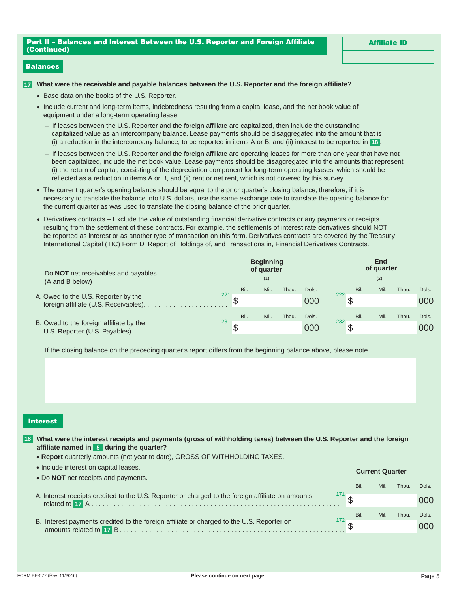Affiliate ID

# Balances

### **17 What were the receivable and payable balances between the U.S. Reporter and the foreign affiliate?**

- Base data on the books of the U.S. Reporter.
- Include current and long-term items, indebtedness resulting from a capital lease, and the net book value of equipment under a long-term operating lease.
	- If leases between the U.S. Reporter and the foreign affiliate are capitalized, then include the outstanding capitalized value as an intercompany balance. Lease payments should be disaggregated into the amount that is (i) a reduction in the intercompany balance, to be reported in items A or B, and (ii) interest to be reported in **18** .
	- If leases between the U.S. Reporter and the foreign affiliate are operating leases for more than one year that have not been capitalized, include the net book value. Lease payments should be disaggregated into the amounts that represent (i) the return of capital, consisting of the depreciation component for long-term operating leases, which should be reflected as a reduction in items A or B, and (ii) rent or net rent, which is not covered by this survey.
- The current quarter's opening balance should be equal to the prior quarter's closing balance; therefore, if it is necessary to translate the balance into U.S. dollars, use the same exchange rate to translate the opening balance for the current quarter as was used to translate the closing balance of the prior quarter.
- Derivatives contracts Exclude the value of outstanding financial derivative contracts or any payments or receipts resulting from the settlement of these contracts. For example, the settlements of interest rate derivatives should NOT be reported as interest or as another type of transaction on this form. Derivatives contracts are covered by the Treasury International Capital (TIC) Form D, Report of Holdings of, and Transactions in, Financial Derivatives Contracts.

| Do <b>NOT</b> net receivables and payables |     |      | <b>Beginning</b><br>of quarter |       |       | End<br>of quarter        |      |       |       |  |
|--------------------------------------------|-----|------|--------------------------------|-------|-------|--------------------------|------|-------|-------|--|
| (A and B below)                            |     |      | (1)                            |       |       |                          | (2)  |       |       |  |
|                                            |     | Bil. | Mil.                           | Thou. | Dols. | Bil.                     | Mil. | Thou. | Dols. |  |
| A. Owed to the U.S. Reporter by the        | 221 |      |                                |       | 000   | 222                      |      |       | 000   |  |
|                                            | 231 | Bil. | Mil.                           | Thou. | Dols. | Bil.<br>232 <sub>1</sub> | Mil. | Thou. | Dols. |  |
| B. Owed to the foreign affiliate by the    |     |      |                                |       | 000   |                          |      |       | 000   |  |

If the closing balance on the preceding quarter's report differs from the beginning balance above, please note.

# Interest

• Include interest on capital leases.

**What were the interest receipts and payments (gross of withholding taxes) between the U.S. Reporter and the foreign 18 affiliate named in 5 during the quarter?** 

• **Report** quarterly amounts (not year to date), GROSS OF WITHHOLDING TAXES.

| . Include interest on capital leases.                                                             |               | <b>Current Quarter</b> |      |       |       |  |
|---------------------------------------------------------------------------------------------------|---------------|------------------------|------|-------|-------|--|
| • Do <b>NOT</b> net receipts and payments.                                                        | Bil.          |                        | Mil. | Thou. | Dols. |  |
| A. Interest receipts credited to the U.S. Reporter or charged to the foreign affiliate on amounts |               |                        |      |       | 000   |  |
|                                                                                                   | Bil.<br>172 F |                        | Mil. | Thou. | Dols. |  |
| B. Interest payments credited to the foreign affiliate or charged to the U.S. Reporter on         |               |                        |      |       | 000   |  |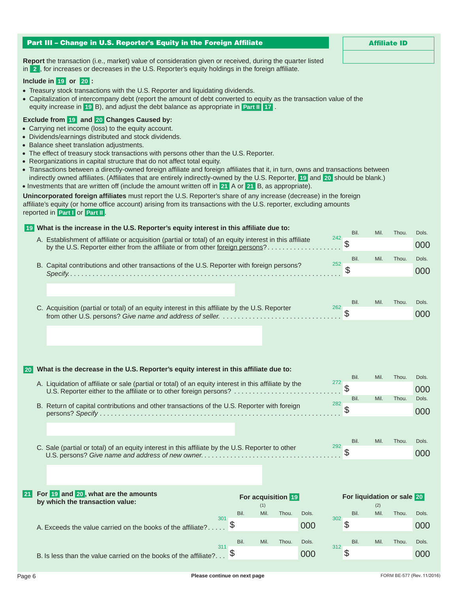|             | Part III - Change in U.S. Reporter's Equity in the Foreign Affiliate                                                                                                                                                                                                                                                                                                                                                                                                                                                                                                                                                                                                                                                                                                                                                                                                                                                                                                                                                                                            |     |      |             |                    |       |     |                            |             | <b>Affiliate ID</b> |              |
|-------------|-----------------------------------------------------------------------------------------------------------------------------------------------------------------------------------------------------------------------------------------------------------------------------------------------------------------------------------------------------------------------------------------------------------------------------------------------------------------------------------------------------------------------------------------------------------------------------------------------------------------------------------------------------------------------------------------------------------------------------------------------------------------------------------------------------------------------------------------------------------------------------------------------------------------------------------------------------------------------------------------------------------------------------------------------------------------|-----|------|-------------|--------------------|-------|-----|----------------------------|-------------|---------------------|--------------|
|             | Report the transaction (i.e., market) value of consideration given or received, during the quarter listed<br>in 2, for increases or decreases in the U.S. Reporter's equity holdings in the foreign affiliate.<br>Include in $19$ or $20$ :<br>• Treasury stock transactions with the U.S. Reporter and liquidating dividends.<br>• Capitalization of intercompany debt (report the amount of debt converted to equity as the transaction value of the<br>equity increase in 19 B), and adjust the debt balance as appropriate in Part II 17.<br>Exclude from 19 and 20 Changes Caused by:<br>• Carrying net income (loss) to the equity account.<br>• Dividends/earnings distributed and stock dividends.<br>• Balance sheet translation adjustments.<br>• The effect of treasury stock transactions with persons other than the U.S. Reporter.<br>• Reorganizations in capital structure that do not affect total equity.<br>• Transactions between a directly-owned foreign affiliate and foreign affiliates that it, in turn, owns and transactions between |     |      |             |                    |       |     |                            |             |                     |              |
|             | indirectly owned affiliates. (Affiliates that are entirely indirectly-owned by the U.S. Reporter, 19 and 20 should be blank.)<br>• Investments that are written off (include the amount written off in 21 A or 21 B, as appropriate).<br>Unincorporated foreign affiliates must report the U.S. Reporter's share of any increase (decrease) in the foreign<br>affiliate's equity (or home office account) arising from its transactions with the U.S. reporter, excluding amounts<br>reported in Part I or Part II.                                                                                                                                                                                                                                                                                                                                                                                                                                                                                                                                             |     |      |             |                    |       |     |                            |             |                     |              |
|             | 19 What is the increase in the U.S. Reporter's equity interest in this affiliate due to:                                                                                                                                                                                                                                                                                                                                                                                                                                                                                                                                                                                                                                                                                                                                                                                                                                                                                                                                                                        |     |      |             |                    |       |     |                            |             |                     |              |
|             | A. Establishment of affiliate or acquisition (partial or total) of an equity interest in this affiliate                                                                                                                                                                                                                                                                                                                                                                                                                                                                                                                                                                                                                                                                                                                                                                                                                                                                                                                                                         |     |      |             |                    |       | 242 | Bil.<br>\$                 | Mil.        | Thou.               | Dols.<br>000 |
|             | by the U.S. Reporter either from the affiliate or from other foreign persons?                                                                                                                                                                                                                                                                                                                                                                                                                                                                                                                                                                                                                                                                                                                                                                                                                                                                                                                                                                                   |     |      |             |                    |       |     | Bil.                       | Mil.        | Thou.               | Dols.        |
|             | B. Capital contributions and other transactions of the U.S. Reporter with foreign persons?                                                                                                                                                                                                                                                                                                                                                                                                                                                                                                                                                                                                                                                                                                                                                                                                                                                                                                                                                                      |     |      |             |                    |       | 252 | \$                         |             |                     | 000          |
|             | C. Acquisition (partial or total) of an equity interest in this affiliate by the U.S. Reporter                                                                                                                                                                                                                                                                                                                                                                                                                                                                                                                                                                                                                                                                                                                                                                                                                                                                                                                                                                  |     |      |             |                    |       | 262 | Bil.                       | Mil.        | Thou.               | Dols.        |
|             |                                                                                                                                                                                                                                                                                                                                                                                                                                                                                                                                                                                                                                                                                                                                                                                                                                                                                                                                                                                                                                                                 |     |      |             |                    |       |     |                            |             |                     | 000          |
| 20          | What is the decrease in the U.S. Reporter's equity interest in this affiliate due to:                                                                                                                                                                                                                                                                                                                                                                                                                                                                                                                                                                                                                                                                                                                                                                                                                                                                                                                                                                           |     |      |             |                    |       |     | Bil.                       | Mil.        | Thou.               | Dols.        |
|             | A. Liquidation of affiliate or sale (partial or total) of an equity interest in this affiliate by the<br>U.S. Reporter either to the affiliate or to other foreign persons?                                                                                                                                                                                                                                                                                                                                                                                                                                                                                                                                                                                                                                                                                                                                                                                                                                                                                     |     |      |             |                    |       | 272 | \$                         |             |                     | 000          |
|             |                                                                                                                                                                                                                                                                                                                                                                                                                                                                                                                                                                                                                                                                                                                                                                                                                                                                                                                                                                                                                                                                 |     |      |             |                    |       | 282 | Bil.                       | Mil.        | Thou.               | Dols.        |
|             | B. Return of capital contributions and other transactions of the U.S. Reporter with foreign                                                                                                                                                                                                                                                                                                                                                                                                                                                                                                                                                                                                                                                                                                                                                                                                                                                                                                                                                                     |     |      |             |                    |       |     | \$                         |             |                     | 000          |
|             | C. Sale (partial or total) of an equity interest in this affiliate by the U.S. Reporter to other                                                                                                                                                                                                                                                                                                                                                                                                                                                                                                                                                                                                                                                                                                                                                                                                                                                                                                                                                                |     |      |             |                    |       | 292 | Bil.                       | Mil.        | Thou.               | Dols.        |
|             |                                                                                                                                                                                                                                                                                                                                                                                                                                                                                                                                                                                                                                                                                                                                                                                                                                                                                                                                                                                                                                                                 |     |      |             |                    |       |     | \$                         |             |                     | 000          |
| <b>21 L</b> | For 19 and 20, what are the amounts                                                                                                                                                                                                                                                                                                                                                                                                                                                                                                                                                                                                                                                                                                                                                                                                                                                                                                                                                                                                                             |     |      |             | For acquisition 19 |       |     | For liquidation or sale 20 |             |                     |              |
|             | by which the transaction value:                                                                                                                                                                                                                                                                                                                                                                                                                                                                                                                                                                                                                                                                                                                                                                                                                                                                                                                                                                                                                                 |     | Bil. | (1)<br>Mil. | Thou.              | Dols. |     | Bil.                       | (2)<br>Mil. | Thou.               | Dols.        |
|             | A. Exceeds the value carried on the books of the affiliate?.                                                                                                                                                                                                                                                                                                                                                                                                                                                                                                                                                                                                                                                                                                                                                                                                                                                                                                                                                                                                    | 301 |      |             |                    | 000   | 302 | \$                         |             |                     | 000          |
|             |                                                                                                                                                                                                                                                                                                                                                                                                                                                                                                                                                                                                                                                                                                                                                                                                                                                                                                                                                                                                                                                                 | 311 | Bil. | Mil.        | Thou.              | Dols. | 312 | Bil.                       | Mil.        | Thou.               | Dols.        |
|             | B. Is less than the value carried on the books of the affiliate?                                                                                                                                                                                                                                                                                                                                                                                                                                                                                                                                                                                                                                                                                                                                                                                                                                                                                                                                                                                                |     | \$   |             |                    | 000   |     | \$                         |             |                     | 000          |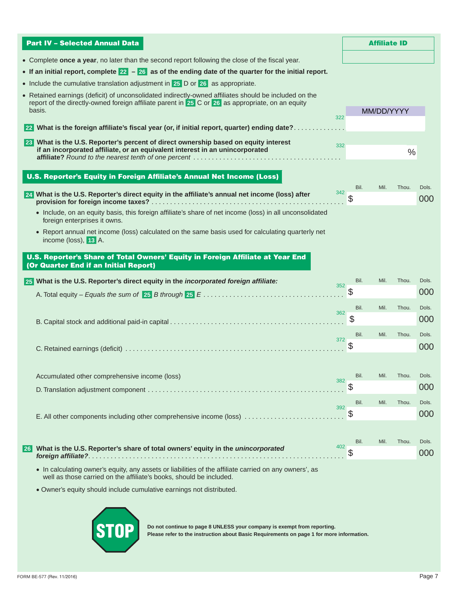| <b>Part IV - Selected Annual Data</b>                                                                                                                                                                               |     |            | <b>Affiliate ID</b> |       |              |
|---------------------------------------------------------------------------------------------------------------------------------------------------------------------------------------------------------------------|-----|------------|---------------------|-------|--------------|
| • Complete once a year, no later than the second report following the close of the fiscal year.                                                                                                                     |     |            |                     |       |              |
| • If an initial report, complete $22 - 26$ as of the ending date of the quarter for the initial report.                                                                                                             |     |            |                     |       |              |
| • Include the cumulative translation adjustment in 25 D or 26 as appropriate.                                                                                                                                       |     |            |                     |       |              |
| • Retained earnings (deficit) of unconsolidated indirectly-owned affiliates should be included on the<br>report of the directly-owned foreign affiliate parent in 25 C or 26 as appropriate, on an equity<br>basis. | 322 |            | MM/DD/YYYY          |       |              |
| 22 What is the foreign affiliate's fiscal year (or, if initial report, quarter) ending date?                                                                                                                        |     |            |                     |       |              |
| 23 What is the U.S. Reporter's percent of direct ownership based on equity interest<br>if an incorporated affiliate, or an equivalent interest in an unincorporated                                                 | 332 |            |                     | $\%$  |              |
| U.S. Reporter's Equity in Foreign Affiliate's Annual Net Income (Loss)                                                                                                                                              |     |            |                     |       |              |
|                                                                                                                                                                                                                     |     | Bil.       | Mil.                | Thou. | Dols.        |
| 24 What is the U.S. Reporter's direct equity in the affiliate's annual net income (loss) after                                                                                                                      | 342 |            |                     |       | 000          |
| • Include, on an equity basis, this foreign affiliate's share of net income (loss) in all unconsolidated<br>foreign enterprises it owns.                                                                            |     |            |                     |       |              |
| • Report annual net income (loss) calculated on the same basis used for calculating quarterly net<br>income (loss), 13 A.                                                                                           |     |            |                     |       |              |
| U.S. Reporter's Share of Total Owners' Equity in Foreign Affiliate at Year End<br>(Or Quarter End if an Initial Report)                                                                                             |     |            |                     |       |              |
| 25 What is the U.S. Reporter's direct equity in the incorporated foreign affiliate:                                                                                                                                 | 352 | Bil.       | Mil.                | Thou. | Dols.        |
|                                                                                                                                                                                                                     |     | Ֆ          |                     |       | 000          |
|                                                                                                                                                                                                                     | 362 | Bil.       | Mil.                | Thou. | Dols.        |
|                                                                                                                                                                                                                     |     | \$         |                     |       | 000          |
|                                                                                                                                                                                                                     | 372 | Bil.       | Mil.                | Thou. | Dols.        |
|                                                                                                                                                                                                                     |     |            |                     |       | 000          |
|                                                                                                                                                                                                                     |     |            |                     |       |              |
| Accumulated other comprehensive income (loss)                                                                                                                                                                       | 382 | Bil.       | Mil.                | Thou. | Dols.        |
|                                                                                                                                                                                                                     |     |            |                     |       | 000          |
|                                                                                                                                                                                                                     | 392 | Bil.       | Mil.                | Thou. | Dols.        |
| E. All other components including other comprehensive income (loss)                                                                                                                                                 |     | \$         |                     |       | 000          |
|                                                                                                                                                                                                                     |     |            |                     |       |              |
| What is the U.S. Reporter's share of total owners' equity in the unincorporated<br>  26                                                                                                                             | 402 | Bil.<br>\$ | Mil.                | Thou. | Dols.<br>000 |
| • In calculating owner's equity, any assets or liabilities of the affiliate carried on any owners', as<br>well as those carried on the affiliate's books, should be included.                                       |     |            |                     |       |              |
| · Owner's equity should include cumulative earnings not distributed.                                                                                                                                                |     |            |                     |       |              |
|                                                                                                                                                                                                                     |     |            |                     |       |              |
|                                                                                                                                                                                                                     |     |            |                     |       |              |

**PLOPE DO not continue to page 8 UNLESS your company is exempt from reporting.**<br>Please refer to the instruction about Basic Requirements on page 1 for more information.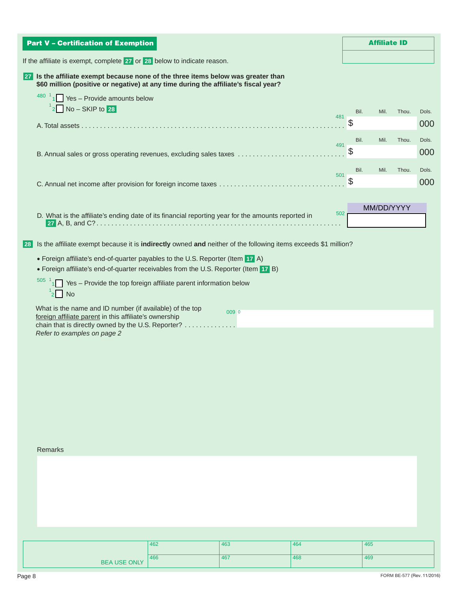|                                 | <b>Part V - Certification of Exemption</b>                                                                                                        |                                                                                                                                                                                                                                                                                                 |                                                                                                                        |            |            | <b>Affiliate ID</b> |       |              |
|---------------------------------|---------------------------------------------------------------------------------------------------------------------------------------------------|-------------------------------------------------------------------------------------------------------------------------------------------------------------------------------------------------------------------------------------------------------------------------------------------------|------------------------------------------------------------------------------------------------------------------------|------------|------------|---------------------|-------|--------------|
|                                 |                                                                                                                                                   | If the affiliate is exempt, complete 27 or 28 below to indicate reason.                                                                                                                                                                                                                         |                                                                                                                        |            |            |                     |       |              |
|                                 |                                                                                                                                                   | 27 Is the affiliate exempt because none of the three items below was greater than<br>\$60 million (positive or negative) at any time during the affiliate's fiscal year?                                                                                                                        |                                                                                                                        |            |            |                     |       |              |
|                                 | $480^{-1}$ 1 Yes – Provide amounts below<br>No - SKIP to 28                                                                                       |                                                                                                                                                                                                                                                                                                 |                                                                                                                        |            | Bil.       | Mil.                | Thou. | Dols.        |
|                                 |                                                                                                                                                   |                                                                                                                                                                                                                                                                                                 |                                                                                                                        | 481        |            |                     |       | 000          |
|                                 | 491                                                                                                                                               |                                                                                                                                                                                                                                                                                                 |                                                                                                                        |            |            |                     |       | Dols.<br>000 |
|                                 |                                                                                                                                                   |                                                                                                                                                                                                                                                                                                 |                                                                                                                        | 501        | Bil.<br>\$ | Mil.                | Thou. | Dols.<br>000 |
|                                 |                                                                                                                                                   |                                                                                                                                                                                                                                                                                                 |                                                                                                                        |            |            | MM/DD/YYYY          |       |              |
|                                 |                                                                                                                                                   |                                                                                                                                                                                                                                                                                                 | D. What is the affiliate's ending date of its financial reporting year for the amounts reported in                     | 502        |            |                     |       |              |
| 28  <br>505<br>$\frac{1}{2}$ No | What is the name and ID number (if available) of the top<br>foreign affiliate parent in this affiliate's ownership<br>Refer to examples on page 2 | • Foreign affiliate's end-of-quarter payables to the U.S. Reporter (Item 17 A)<br>• Foreign affiliate's end-of-quarter receivables from the U.S. Reporter (Item 17 B)<br>Yes - Provide the top foreign affiliate parent information below<br>chain that is directly owned by the U.S. Reporter? | Is the affiliate exempt because it is indirectly owned and neither of the following items exceeds \$1 million?<br>0090 |            |            |                     |       |              |
| Remarks                         |                                                                                                                                                   |                                                                                                                                                                                                                                                                                                 |                                                                                                                        |            |            |                     |       |              |
|                                 |                                                                                                                                                   |                                                                                                                                                                                                                                                                                                 |                                                                                                                        |            |            |                     |       |              |
|                                 |                                                                                                                                                   |                                                                                                                                                                                                                                                                                                 |                                                                                                                        |            |            |                     |       |              |
|                                 |                                                                                                                                                   | 462<br>466                                                                                                                                                                                                                                                                                      | 463<br>467                                                                                                             | 464<br>468 |            | 465<br>469          |       |              |
|                                 | <b>BEA USE ONLY</b>                                                                                                                               |                                                                                                                                                                                                                                                                                                 |                                                                                                                        |            |            |                     |       |              |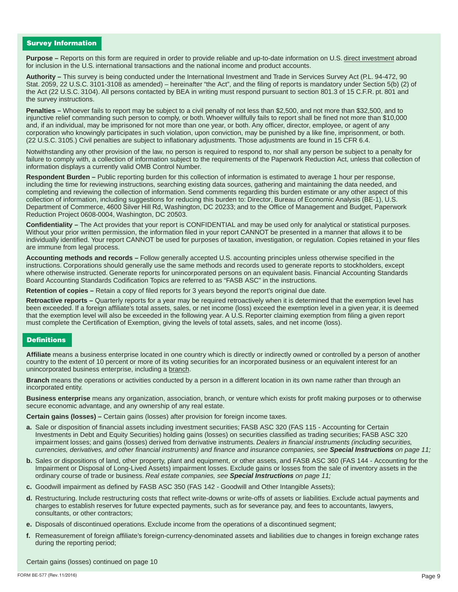# Survey Information

**Purpose –** Reports on this form are required in order to provide reliable and up-to-date information on U.S. direct investment abroad for inclusion in the U.S. international transactions and the national income and product accounts.

**Authority –** This survey is being conducted under the International Investment and Trade in Services Survey Act (P.L. 94-472, 90 Stat. 2059, 22 U.S.C. 3101-3108 as amended) – hereinafter "the Act", and the filing of reports is mandatory under Section 5(b) (2) of the Act (22 U.S.C. 3104). All persons contacted by BEA in writing must respond pursuant to section 801.3 of 15 C.F.R. pt. 801 and the survey instructions.

**Penalties –** Whoever fails to report may be subject to a civil penalty of not less than \$2,500, and not more than \$32,500, and to injunctive relief commanding such person to comply, or both. Whoever willfully fails to report shall be fined not more than \$10,000 and, if an individual, may be imprisoned for not more than one year, or both. Any officer, director, employee, or agent of any corporation who knowingly participates in such violation, upon conviction, may be punished by a like fine, imprisonment, or both. (22 U.S.C. 3105.) Civil penalties are subject to inflationary adjustments. Those adjustments are found in 15 CFR 6.4.

Notwithstanding any other provision of the law, no person is required to respond to, nor shall any person be subject to a penalty for failure to comply with, a collection of information subject to the requirements of the Paperwork Reduction Act, unless that collection of information displays a currently valid OMB Control Number.

**Respondent Burden –** Public reporting burden for this collection of information is estimated to average 1 hour per response, including the time for reviewing instructions, searching existing data sources, gathering and maintaining the data needed, and completing and reviewing the collection of information. Send comments regarding this burden estimate or any other aspect of this collection of information, including suggestions for reducing this burden to: Director, Bureau of Economic Analysis (BE-1), U.S. Department of Commerce, 4600 Silver Hill Rd, Washington, DC 20233; and to the Office of Management and Budget, Paperwork Reduction Project 0608-0004, Washington, DC 20503.

**Confidentiality –** The Act provides that your report is CONFIDENTIAL and may be used only for analytical or statistical purposes. Without your prior written permission, the information filed in your report CANNOT be presented in a manner that allows it to be individually identified. Your report CANNOT be used for purposes of taxation, investigation, or regulation. Copies retained in your files are immune from legal process.

**Accounting methods and records –** Follow generally accepted U.S. accounting principles unless otherwise specified in the instructions. Corporations should generally use the same methods and records used to generate reports to stockholders, except where otherwise instructed. Generate reports for unincorporated persons on an equivalent basis. Financial Accounting Standards Board Accounting Standards Codification Topics are referred to as "FASB ASC" in the instructions.

**Retention of copies –** Retain a copy of filed reports for 3 years beyond the report's original due date.

**Retroactive reports –** Quarterly reports for a year may be required retroactively when it is determined that the exemption level has been exceeded. If a foreign affiliate's total assets, sales, or net income (loss) exceed the exemption level in a given year, it is deemed that the exemption level will also be exceeded in the following year. A U.S. Reporter claiming exemption from filing a given report must complete the Certification of Exemption, giving the levels of total assets, sales, and net income (loss).

# **Definitions**

**Affiliate** means a business enterprise located in one country which is directly or indirectly owned or controlled by a person of another country to the extent of 10 percent or more of its voting securities for an incorporated business or an equivalent interest for an unincorporated business enterprise, including a branch.

**Branch** means the operations or activities conducted by a person in a different location in its own name rather than through an incorporated entity.

**Business enterprise** means any organization, association, branch, or venture which exists for profit making purposes or to otherwise secure economic advantage, and any ownership of any real estate.

**Certain gains (losses) –** Certain gains (losses) after provision for foreign income taxes.

- **a.** Sale or disposition of financial assets including investment securities; FASB ASC 320 (FAS 115 Accounting for Certain Investments in Debt and Equity Securities) holding gains (losses) on securities classified as trading securities; FASB ASC 320 impairment losses; and gains (losses) derived from derivative instruments. *Dealers in financial instruments (including securities, currencies, derivatives, and other financial instruments) and finance and insurance companies, see Special Instructions on page 11;*
- **b.** Sales or dispositions of land, other property, plant and equipment, or other assets, and FASB ASC 360 (FAS 144 Accounting for the Impairment or Disposal of Long-Lived Assets) impairment losses. Exclude gains or losses from the sale of inventory assets in the ordinary course of trade or business. *Real estate companies, see Special Instructions on page 11;*
- **c.** Goodwill impairment as defined by FASB ASC 350 (FAS 142 Goodwill and Other Intangible Assets);
- **d.** Restructuring. Include restructuring costs that reflect write-downs or write-offs of assets or liabilities. Exclude actual payments and charges to establish reserves for future expected payments, such as for severance pay, and fees to accountants, lawyers, consultants, or other contractors;
- **e.** Disposals of discontinued operations. Exclude income from the operations of a discontinued segment;
- **f.** Remeasurement of foreign affiliate's foreign-currency-denominated assets and liabilities due to changes in foreign exchange rates during the reporting period;

Certain gains (losses) continued on page 10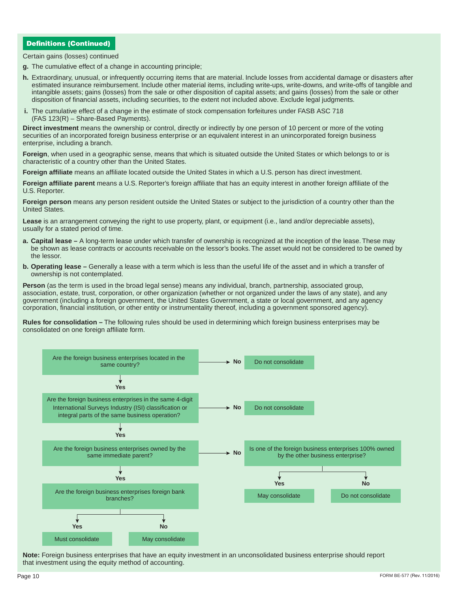# Definitions (Continued)

Certain gains (losses) continued

- **g.** The cumulative effect of a change in accounting principle;
- **h.** Extraordinary, unusual, or infrequently occurring items that are material. Include losses from accidental damage or disasters after estimated insurance reimbursement. Include other material items, including write-ups, write-downs, and write-offs of tangible and intangible assets; gains (losses) from the sale or other disposition of capital assets; and gains (losses) from the sale or other disposition of financial assets, including securities, to the extent not included above. Exclude legal judgments.
- **i.** The cumulative effect of a change in the estimate of stock compensation forfeitures under FASB ASC 718 (FAS 123(R) – Share-Based Payments).

**Direct investment** means the ownership or control, directly or indirectly by one person of 10 percent or more of the voting securities of an incorporated foreign business enterprise or an equivalent interest in an unincorporated foreign business enterprise, including a branch.

**Foreign**, when used in a geographic sense, means that which is situated outside the United States or which belongs to or is characteristic of a country other than the United States.

**Foreign affiliate** means an affiliate located outside the United States in which a U.S. person has direct investment.

**Foreign affiliate parent** means a U.S. Reporter's foreign affiliate that has an equity interest in another foreign affiliate of the U.S. Reporter.

**Foreign person** means any person resident outside the United States or subject to the jurisdiction of a country other than the United States.

Lease is an arrangement conveying the right to use property, plant, or equipment (i.e., land and/or depreciable assets), usually for a stated period of time.

- **a. Capital lease –** A long-term lease under which transfer of ownership is recognized at the inception of the lease. These may be shown as lease contracts or accounts receivable on the lessor's books. The asset would not be considered to be owned by the lessor.
- **b. Operating lease –** Generally a lease with a term which is less than the useful life of the asset and in which a transfer of ownership is not contemplated.

**Person** (as the term is used in the broad legal sense) means any individual, branch, partnership, associated group, association, estate, trust, corporation, or other organization (whether or not organized under the laws of any state), and any government (including a foreign government, the United States Government, a state or local government, and any agency corporation, financial institution, or other entity or instrumentality thereof, including a government sponsored agency).

**Rules for consolidation –** The following rules should be used in determining which foreign business enterprises may be consolidated on one foreign affiliate form.



**Note:** Foreign business enterprises that have an equity investment in an unconsolidated business enterprise should report that investment using the equity method of accounting.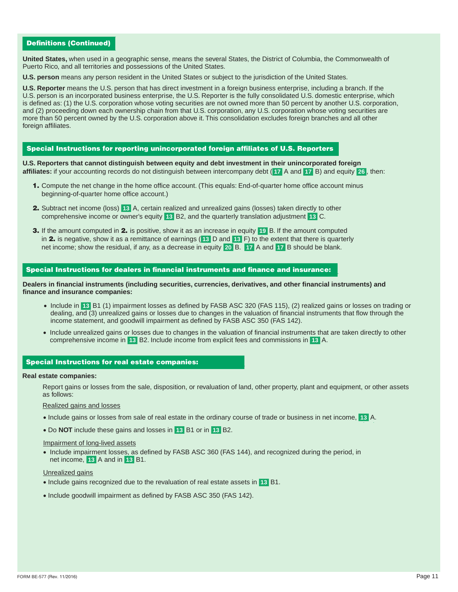# Definitions (Continued)

**United States,** when used in a geographic sense, means the several States, the District of Columbia, the Commonwealth of Puerto Rico, and all territories and possessions of the United States.

**U.S. person** means any person resident in the United States or subject to the jurisdiction of the United States.

**U.S. Reporter** means the U.S. person that has direct investment in a foreign business enterprise, including a branch. If the U.S. person is an incorporated business enterprise, the U.S. Reporter is the fully consolidated U.S. domestic enterprise, which is defined as: (1) the U.S. corporation whose voting securities are not owned more than 50 percent by another U.S. corporation, and (2) proceeding down each ownership chain from that U.S. corporation, any U.S. corporation whose voting securities are more than 50 percent owned by the U.S. corporation above it. This consolidation excludes foreign branches and all other foreign affiliates.

# Special Instructions for reporting unincorporated foreign affiliates of U.S. Reporters

**U.S. Reporters that cannot distinguish between equity and debt investment in their unincorporated foreign affiliates:** if your accounting records do not distinguish between intercompany debt ( **17** A and **17** B) and equity **26** , then:

- 1. Compute the net change in the home office account. (This equals: End-of-quarter home office account minus beginning-of-quarter home office account.)
- 2. Subtract net income (loss) **13** A, certain realized and unrealized gains (losses) taken directly to other comprehensive income or owner's equity **13** B2, and the quarterly translation adjustment **13** C.
- 3. If the amount computed in 2. is positive, show it as an increase in equity **19** B. If the amount computed in 2. is negative, show it as a remittance of earnings ( **13** D and **13** F) to the extent that there is quarterly net income; show the residual, if any, as a decrease in equity **20** B. **17** A and **17** B should be blank.

### Special Instructions for dealers in financial instruments and finance and insurance:

**Dealers in financial instruments (including securities, currencies, derivatives, and other financial instruments) and finance and insurance companies:** 

- Include in **13** B1 (1) impairment losses as defined by FASB ASC 320 (FAS 115), (2) realized gains or losses on trading or dealing, and (3) unrealized gains or losses due to changes in the valuation of financial instruments that flow through the income statement, and goodwill impairment as defined by FASB ASC 350 (FAS 142).
- Include unrealized gains or losses due to changes in the valuation of financial instruments that are taken directly to other comprehensive income in **13** B2. Include income from explicit fees and commissions in **13** A.

### Special Instructions for real estate companies:

### **Real estate companies:**

Report gains or losses from the sale, disposition, or revaluation of land, other property, plant and equipment, or other assets as follows:

### Realized gains and losses

- Include gains or losses from sale of real estate in the ordinary course of trade or business in net income, **13** A.
- Do **NOT** include these gains and losses in **13** B1 or in **13** B2.

# Impairment of long-lived assets

• Include impairment losses, as defined by FASB ASC 360 (FAS 144), and recognized during the period, in net income, **13** A and in **13** B1.

#### Unrealized gains

- Include gains recognized due to the revaluation of real estate assets in **13** B1.
- Include goodwill impairment as defined by FASB ASC 350 (FAS 142).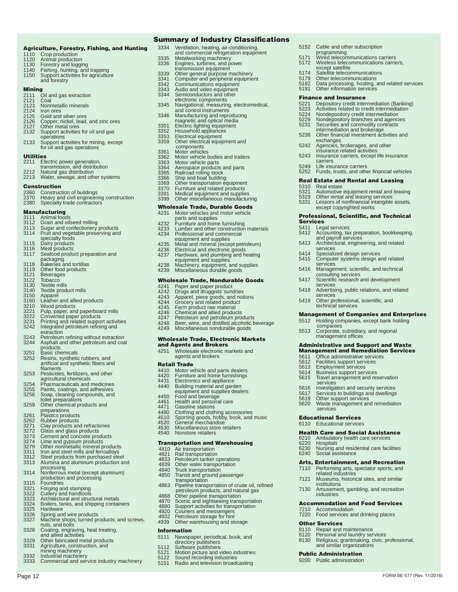#### Summary of Industry Classifications

5152 Cable and other subscription programming 5171 Wired telecommunications carriers 5172 Wireless telecommunications carriers, except satellite

5174 Satellite telecommunications<br>5179 Other telecommunications<br>5182 Data processing, hosting, and

exchanges

carriers 5249 Life insurance carriers

5310 Real estate<br>5321 Automotive

services

services

services

Services 5411 Legal services

5179 Other telecommunications 5182 Data processing, hosting, and related services 5191 Other information services

Finance and Insurance<br>5221 Depository credit intermediation (Banking)<br>5223 Activities related to credit intermediation

5224 Nondepository credit intermediation 5229 Nondepository branches and agencies 5231 Securities and commodity contracts intermediation and brokerage 5238 Other financial investment activities and

5242 Agencies, brokerages, and other insurance related activities 5243 Insurance carriers, except life insurance

5252 Funds, trusts, and other financial vehicles Real Estate and Rental and Leasing

5321 Automotive equipment rental and leasing<br>5329 Other rental and leasing services 5329 Other rental and leasing services

5412 Accounting, tax preparation, bookkeeping, and payroll services 5413 Architectural, engineering, and related

5414 Specialized design services 5415 Computer systems design and related

5416 Management, scientific, and technical consulting services 5417 Scientific research and development

5418 Advertising, public relations, and related services 5419 Other professional, scientific, and technical services

5611 Office administrative services 5612 Facilities support services 5613 Employment services 5614 Business support services 5615 Travel arrangement and reservation

services Educational Services 6110 Educational services

institutions

industries

Public Administration 9200 Public administration

Other Services

services 5616 Investigation and security services 5617 Services to buildings and dwellings 5619 Other support services 5620 Waste management and remediation

Health Care and Social Assistance 6210 Ambulatory health care services 6220 Hospitals 6230 Nursing and residential care facilities 6240 Social assistance Arts, Entertainment, and Recreation 7110 Performing arts, spectator sports, and related industries 7121 Museums, historical sites, and similar

7130 Amusement, gambling, and recreation

Accommodation and Food Services 7210 Accommodation 7220 Food services and drinking places

8130 Religious, grantmaking, civic, professional, and similar organizations

FORM BE-577 (Rev. 11/2016)

8110 Repair and maintenance 8120 Personal and laundry services

Management of Companies and Enterprises 5512 Holding companies, except bank holding companies 5513 Corporate, subsidiary, and regional management offices Administrative and Support and Waste **Management and Remediation Services**<br>5611 Office administrative services

except copyrighted works Professional, Scientific, and Technical

Lessors of nonfinancial intangible assets,

#### Agriculture, Forestry, Fishing, and Hunting

- 1110 Crop production<br>1120 Animal productio
- 
- 1120 Animal production<br>1130 Forestry and loggii<br>1140 Fishing, hunting, a
- 1130 Forestry and logging 1140 Fishing, hunting, and trapping 1150 Support activities for agriculture and forestry

- **Mining**<br>2111 Oil and gas extraction
- 2121 Coal<br>2123 Nonme
- 2123 Nonmetallic minerals 2124 Iron ores
- 
- 2125 Gold and silver ores<br>2126 Copper, nickel, lead,<br>2127 Other metal ores 2126 Copper, nickel, lead, and zinc ores 2127 Other metal ores 2132 Support activities for oil and gas
- 
- 
- operations 2133 Support activities for mining, except for oil and gas operations

#### Utilities

- 2211 Electric power generation,
- transmission, and distribution 2212 Natural gas distribution
- 2213 Water, sewage, and other systems
- Construction

- 2360 Construction of buildings 2370 Heavy and civil engineering construction 2380 Specialty trade contractors
- 

- **Manufacturing**<br>3111 Animal foods<br>3112 Grain and oilseed milling<br>3113 Sugar and confectionery products<br>3114 Fruit and vegetable preserving and<br>specialty foods 3115 Dairy products 3116 Meat products 3116 Meat products<br>3116 Meat products<br>3117 Seafood product preparation and packaging 3118 Bakeries and tortillas 3119 Other food products 3121 Beverages 3122 Tobacco 3130 Textile mills 3140 Textile product mills 3150 Apparel<br>3160 Leather and allied products<br>3210 Wood products<br>3221 Pulp, paper, and paperboard mills<br>3222 Converted paper products<br>3233 Printing and related support activities<br>3242 Integrated petroleum refining and<br>3243 products 3251 Basic chemicals<br>3252 Resins synthetic 3252 Resins, synthetic rubbers, and artificial and synthetic fibers and
- filaments
- 3253 Pesticides, fertilizers, and other agricultural chemicals
- 3254 Pharmaceuticals and medicines
- 
- 3255 Paints, coatings, and adhesives 3256 Soap, cleaning compounds, and toilet preparations 3259 Other chemical products and
- 
- preparations<br>3261 Plastics products<br>3262 Rubber products
- 
- 
- 3271 Clay products and refractories 3272 Glass and glass products 3273 Cement and concrete products
- 
- 3274 Lime and gypsum products 3279 Other nonmetallic mineral products 3311 Iron and steel mills and ferroalloys
- 
- 3312 Steel products from purchased steel 3313 Alumina and aluminum production and processing
- 3314 Nonferrous metal (except aluminum) production and processing 3315 Foundries
- 
- 3315 Foundries<br>3321 Forging and stamping<br>3322 Cutlery and handtools
- 
- 3322 Cutlery and handtools 3323 Architectural and structural metals 3324 Boilers, tanks, and shipping containers
- 
- 3325 Hardware<br>3326 Spring and<br>3327 Machine s
- 3326 Spring and wire products 3327 Machine shops; turned products; and screws, nuts, and bolts
- 3328 Coating, engraving, heat treating, and allied activities 3329 Other fabricated metal products
- 
- 3331 Agriculture, construction, and mining machinery
- 
- 3332 Industrial machinery<br>3333 Commercial and ser

Page 12

Commercial and service industry machinery

- 3334 Ventilation, heating, air-conditioning,
- and commercial refrigeration equipment
- 3335 Metalworking machinery 3336 Engines, turbines, and power
- 
- transmission equipment 3339 Other general purpose machinery 3341 Computer and peripheral equipment 3342 Communications equipment 3343 Audio and video equipment 3344 Semiconductors and other
- 
- 
- 
- electronic components 3345 Navigational, measuring, electromedical,
- and control instruments 3346 Manufacturing and reproducing magnetic and optical media
- 
- 3351 Electric lighting equipment 3352 Household appliances 3353 Electrical equipment
- 
- 3359 Other electrical equipment and components
- 
- 3361 Motor vehicles<br>3362 Motor vehicle b<br>3363 Motor vehicle p
- 3362 Motor vehicle bodies and trailers 3363 Motor vehicle parts 3364 Aerospace products and parts
- 
- 
- 
- 
- 
- 3365 Railroad rolling stock 3366 Ship and boat building 3369 Other transportation equipment 3370 Furniture and related products 3391 Medical equipment and supplies 3399 Other miscellaneous manufacturing

- **Wholesale Trade, Durable Goods**<br>4231 Motor vehicles and motor vehicle Motor vehicles and motor vehicle
- 
- parts and supplies 4232 Furniture and home furnishing 4233 Lumber and other construction materials
- 
- 
- 
- 
- 4234 Professional and commercial<br>equipment and supplies<br>4235 Metal and mineral (except petroleum)<br>4236 Electrical and electronic goods<br>4237 Hardware, and plumbing and heating<br>equipment and supplies<br>4238 Machinery, equipmen
- 

# Wholesale Trade, Nondurable Goods<br>4241 Paper and paper product

- 
- 4242 Drugs and druggists' sundries 4243 Apparel, piece goods, and notions 4244 Grocery and related product
- 
- 
- 
- 4245 Farm product raw material 4246 Chemical and allied products 4247 Petroleum and petroleum products
- 
- 4248 Beer, wine, and distilled alcoholic beverage 4249 Miscellaneous nondurable goods

# Wholesale Trade, Electronic Markets

- and Agents and Brokers<br>4251 Wholesale electronic ma Wholesale electronic markets and
- agents and brokers

#### Retail Trade

4410 Motor vehicle and parts dealers<br>4420 Furniture and home furnishings 4420 Furniture and home furnishings 4431 Electronics and appliance

4440 Building material and garden equipment and supplies dealers

4530 Miscellaneous store retailers Nonstore retailers

**Transportation and Warehousing**<br>4810 Air transportation

4480 Clothing and clothing accessories 4510 Sporting goods, hobby, book, and music 4520 General merchandise

transportation 4863 Pipeline transportation of crude oil, refined

petroleum products, and natural gas<br>4868 Other pipeline transportation<br>4870 Scenic and sightseeing transportation<br>4880 Support activities for transportation<br>4922 Petroleum storage for hire<br>4933 Petroleum storage for hire<br>4

5111 Newspaper, periodical, book, and directory publishers 5112 Software publishers 5121 Motion picture and video industries

5122 Sound recording industries 5151 Radio and television broadcasting

4450 Food and beverage<br>4461 Health and persona<br>4471 Gasoline stations 4461 Health and personal care 4471 Gasoline stations

4810 Air transportation 4821 Rail transportation 4833 Petroleum tanker operations 4839 Other water transportation 4840 Truck transportation 4850 Transit and ground passenger

**Information**<br>5111 Newspa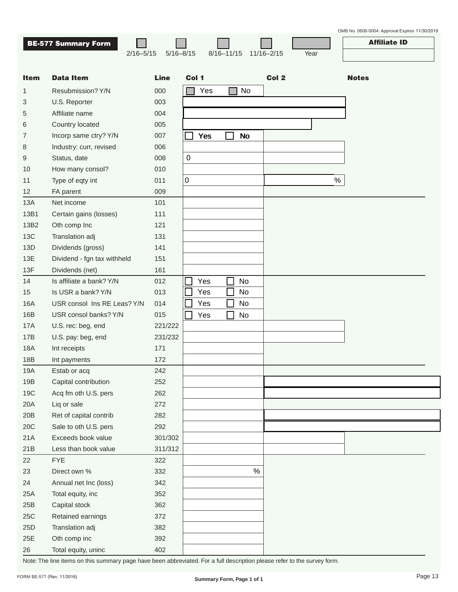|             | <b>BE-577 Summary Form</b>  |               |             |       |                |           |                |      | <b>Affiliate ID</b> |
|-------------|-----------------------------|---------------|-------------|-------|----------------|-----------|----------------|------|---------------------|
|             | $2/16 - 5/15$               | $5/16 - 8/15$ |             |       | $8/16 - 11/15$ |           | $11/16 - 2/15$ | Year |                     |
|             |                             |               |             |       |                |           |                |      |                     |
| <b>Item</b> | <b>Data Item</b>            | <b>Line</b>   |             | Col 1 |                |           | Col 2          |      | <b>Notes</b>        |
| 1           | Resubmission? Y/N           | 000           |             | Yes   |                | No        |                |      |                     |
| 3           | U.S. Reporter               | 003           |             |       |                |           |                |      |                     |
| 5           | Affiliate name              | 004           |             |       |                |           |                |      |                     |
| 6           | Country located             | 005           |             |       |                |           |                |      |                     |
| 7           | Incorp same ctry? Y/N       | 007           |             | Yes   |                | <b>No</b> |                |      |                     |
| 8           | Industry: curr, revised     | 006           |             |       |                |           |                |      |                     |
| 9           | Status, date                | 008           | $\mathbf 0$ |       |                |           |                |      |                     |
| 10          | How many consol?            | 010           |             |       |                |           |                |      |                     |
| 11          | Type of eqty int            | 011           | 0           |       |                |           |                | $\%$ |                     |
| 12          | FA parent                   | 009           |             |       |                |           |                |      |                     |
| 13A         | Net income                  | 101           |             |       |                |           |                |      |                     |
| 13B1        | Certain gains (losses)      | 111           |             |       |                |           |                |      |                     |
| 13B2        | Oth comp Inc                | 121           |             |       |                |           |                |      |                     |
| <b>13C</b>  | Translation adj             | 131           |             |       |                |           |                |      |                     |
| 13D         | Dividends (gross)           | 141           |             |       |                |           |                |      |                     |
| 13E         | Dividend - fgn tax withheld | 151           |             |       |                |           |                |      |                     |
| 13F         | Dividends (net)             | 161           |             |       |                |           |                |      |                     |
| 14          | Is affiliate a bank? Y/N    | 012           |             | Yes   |                | No        |                |      |                     |
| 15          | Is USR a bank? Y/N          | 013           |             | Yes   |                | No        |                |      |                     |
| 16A         | USR consol Ins RE Leas? Y/N | 014           |             | Yes   |                | No        |                |      |                     |
| 16B         | USR consol banks? Y/N       | 015           |             | Yes   |                | No        |                |      |                     |
| 17A         | U.S. rec: beg, end          | 221/222       |             |       |                |           |                |      |                     |
| 17B         | U.S. pay: beg, end          | 231/232       |             |       |                |           |                |      |                     |
| 18A         | Int receipts                | 171           |             |       |                |           |                |      |                     |
| 18B         | Int payments                | 172           |             |       |                |           |                |      |                     |
| 19A         | Estab or acq                | 242           |             |       |                |           |                |      |                     |
| 19B         | Capital contribution        | 252           |             |       |                |           |                |      |                     |
| 19C         | Acq fm oth U.S. pers        | 262           |             |       |                |           |                |      |                     |
| 20A         | Liq or sale                 | 272           |             |       |                |           |                |      |                     |
| 20B         | Ret of capital contrib      | 282           |             |       |                |           |                |      |                     |
| 20C         | Sale to oth U.S. pers       | 292           |             |       |                |           |                |      |                     |
| 21A         | Exceeds book value          | 301/302       |             |       |                |           |                |      |                     |
| 21B         | Less than book value        | 311/312       |             |       |                |           |                |      |                     |
| 22          | <b>FYE</b>                  | 322           |             |       |                |           |                |      |                     |
| 23          | Direct own %                | 332           |             |       |                | $\%$      |                |      |                     |
| 24          | Annual net Inc (loss)       | 342           |             |       |                |           |                |      |                     |
| 25A         | Total equity, inc           | 352           |             |       |                |           |                |      |                     |
| 25B         | Capital stock               | 362           |             |       |                |           |                |      |                     |
| 25C         | Retained earnings           | 372           |             |       |                |           |                |      |                     |
| 25D         | Translation adj             | 382           |             |       |                |           |                |      |                     |
| 25E         | Oth comp inc                | 392           |             |       |                |           |                |      |                     |
| 26          | Total equity, uninc         | 402           |             |       |                |           |                |      |                     |

Note: The line items on this summary page have been abbreviated. For a full description please refer to the survey form.